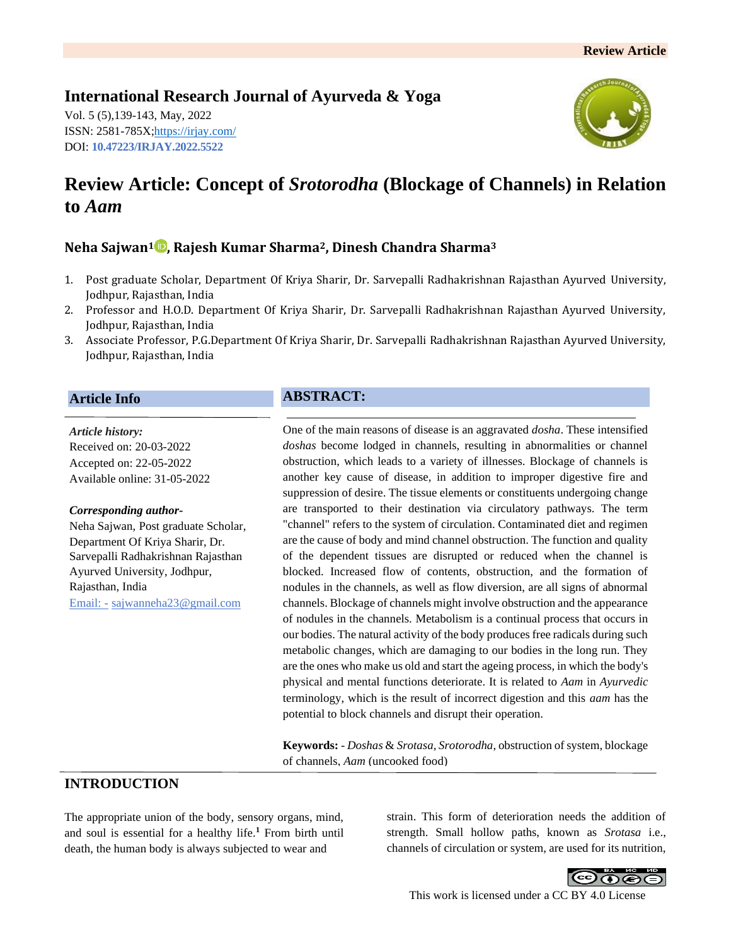# **International Research Journal of Ayurveda & Yoga**

Vol. 5 (5),139-143, May, 2022 ISSN: 2581-785X[; https://irjay.com/](https://irjay.com/) DOI: **10.47223/IRJAY.2022.5522**



# **Review Article: Concept of** *Srotorodha* **(Blockage of Channels) in Relation to** *Aam*

# **Neha Sajwan<sup>1</sup> , Rajesh Kumar Sharma2, Dinesh Chandra Sharma<sup>3</sup>**

- 1. Post graduate Scholar, Department Of Kriya Sharir, Dr. Sarvepalli Radhakrishnan Rajasthan Ayurved University, Jodhpur, Rajasthan, India
- 2. Professor and H.O.D. Department Of Kriya Sharir, Dr. Sarvepalli Radhakrishnan Rajasthan Ayurved University, Jodhpur, Rajasthan, India
- 3. Associate Professor, P.G.Department Of Kriya Sharir, Dr. Sarvepalli Radhakrishnan Rajasthan Ayurved University, Jodhpur, Rajasthan, India

### **Article Info**

*Article history:* Received on: 20-03-2022 Accepted on: 22-05-2022 Available online: 31-05-2022

#### *Corresponding author-*

Neha Sajwan, Post graduate Scholar, Department Of Kriya Sharir, Dr. Sarvepalli Radhakrishnan Rajasthan Ayurved University, Jodhpur, Rajasthan, India Email: - sajwanneha23@gmail.com

# **ABSTRACT:**

One of the main reasons of disease is an aggravated *dosha*. These intensified *doshas* become lodged in channels, resulting in abnormalities or channel obstruction, which leads to a variety of illnesses. Blockage of channels is another key cause of disease, in addition to improper digestive fire and suppression of desire. The tissue elements or constituents undergoing change are transported to their destination via circulatory pathways. The term "channel" refers to the system of circulation. Contaminated diet and regimen are the cause of body and mind channel obstruction. The function and quality of the dependent tissues are disrupted or reduced when the channel is blocked. Increased flow of contents, obstruction, and the formation of nodules in the channels, as well as flow diversion, are all signs of abnormal channels. Blockage of channels might involve obstruction and the appearance of nodules in the channels. Metabolism is a continual process that occurs in our bodies. The natural activity of the body produces free radicals during such metabolic changes, which are damaging to our bodies in the long run. They are the ones who make us old and start the ageing process, in which the body's physical and mental functions deteriorate. It is related to *Aam* in *Ayurvedic* terminology, which is the result of incorrect digestion and this *aam* has the potential to block channels and disrupt their operation.

**Keywords:** - *Doshas* & *Srotasa, Srotorodha*, obstruction of system, blockage of channels, *Aam* (uncooked food)

# **INTRODUCTION**

The appropriate union of the body, sensory organs, mind, and soul is essential for a healthy life.**<sup>1</sup>** From birth until death, the human body is always subjected to wear and

strain. This form of deterioration needs the addition of strength. Small hollow paths, known as *Srotasa* i.e., channels of circulation or system, are used for its nutrition,



This work is licensed under a CC BY 4.0 License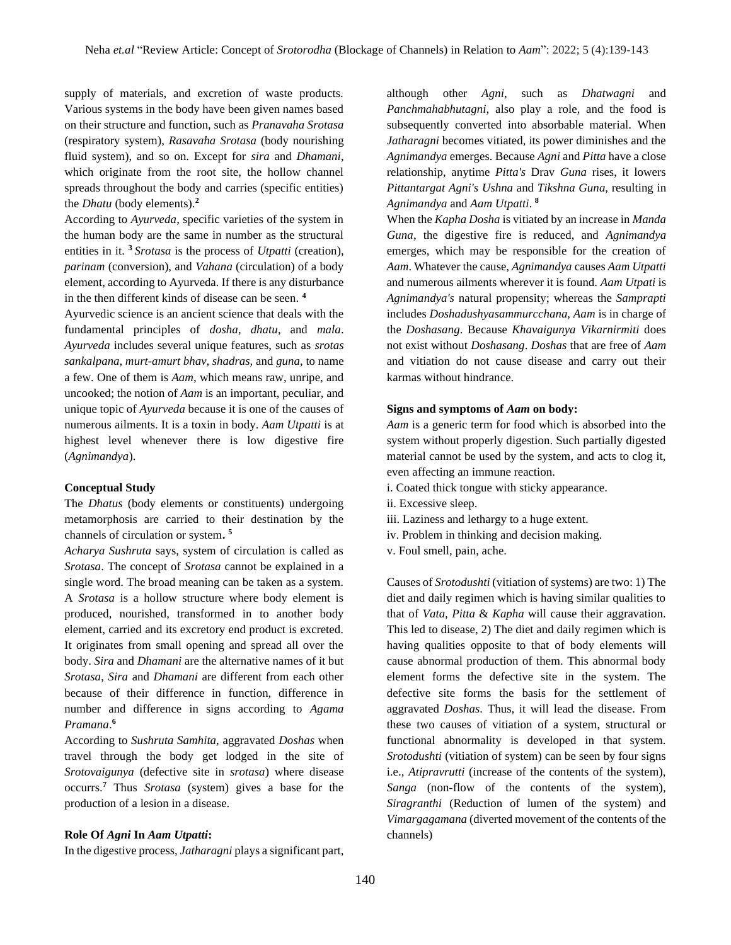supply of materials, and excretion of waste products. Various systems in the body have been given names based on their structure and function, such as *Pranavaha Srotasa* (respiratory system), *Rasavaha Srotasa* (body nourishing fluid system), and so on. Except for *sira* and *Dhamani*, which originate from the root site, the hollow channel spreads throughout the body and carries (specific entities) the *Dhatu* (body elements).**<sup>2</sup>**

According to *Ayurveda*, specific varieties of the system in the human body are the same in number as the structural entities in it. **<sup>3</sup>***Srotasa* is the process of *Utpatti* (creation), *parinam* (conversion), and *Vahana* (circulation) of a body element, according to Ayurveda. If there is any disturbance in the then different kinds of disease can be seen. **<sup>4</sup>**

Ayurvedic science is an ancient science that deals with the fundamental principles of *dosha*, *dhatu*, and *mala*. *Ayurveda* includes several unique features, such as *srotas sankalpana, murt-amurt bhav, shadras,* and *guna*, to name a few. One of them is *Aam*, which means raw, unripe, and uncooked; the notion of *Aam* is an important, peculiar, and unique topic of *Ayurveda* because it is one of the causes of numerous ailments. It is a toxin in body. *Aam Utpatti* is at highest level whenever there is low digestive fire (*Agnimandya*).

#### **Conceptual Study**

The *Dhatus* (body elements or constituents) undergoing metamorphosis are carried to their destination by the channels of circulation or system**. 5**

*Acharya Sushruta* says, system of circulation is called as *Srotasa*. The concept of *Srotasa* cannot be explained in a single word. The broad meaning can be taken as a system. A *Srotasa* is a hollow structure where body element is produced, nourished, transformed in to another body element, carried and its excretory end product is excreted. It originates from small opening and spread all over the body. *Sira* and *Dhamani* are the alternative names of it but *Srotasa*, *Sira* and *Dhamani* are different from each other because of their difference in function, difference in number and difference in signs according to *Agama Pramana*. **6**

According to *Sushruta Samhita*, aggravated *Doshas* when travel through the body get lodged in the site of *Srotovaigunya* (defective site in *srotasa*) where disease occurrs.**<sup>7</sup>** Thus *Srotasa* (system) gives a base for the production of a lesion in a disease.

#### **Role Of** *Agni* **In** *Aam Utpatti***:**

In the digestive process, *Jatharagni* plays a significant part,

although other *Agni*, such as *Dhatwagni* and *Panchmahabhutagni*, also play a role, and the food is subsequently converted into absorbable material. When *Jatharagni* becomes vitiated, its power diminishes and the *Agnimandya* emerges. Because *Agni* and *Pitta* have a close relationship, anytime *Pitta's* Drav *Guna* rises, it lowers *Pittantargat Agni's Ushna* and *Tikshna Guna*, resulting in *Agnimandya* and *Aam Utpatti*. **8**

When the *Kapha Dosha* is vitiated by an increase in *Manda Guna*, the digestive fire is reduced, and *Agnimandya* emerges, which may be responsible for the creation of *Aam*. Whatever the cause, *Agnimandya* causes *Aam Utpatti* and numerous ailments wherever it is found. *Aam Utpati* is *Agnimandya's* natural propensity; whereas the *Samprapti* includes *Doshadushyasammurcchana, Aam* is in charge of the *Doshasang*. Because *Khavaigunya Vikarnirmiti* does not exist without *Doshasang*. *Doshas* that are free of *Aam* and vitiation do not cause disease and carry out their karmas without hindrance.

#### **Signs and symptoms of** *Aam* **on body:**

*Aam* is a generic term for food which is absorbed into the system without properly digestion. Such partially digested material cannot be used by the system, and acts to clog it, even affecting an immune reaction.

- i. Coated thick tongue with sticky appearance.
- ii. Excessive sleep.
- iii. Laziness and lethargy to a huge extent.
- iv. Problem in thinking and decision making.
- v. Foul smell, pain, ache.

Causes of *Srotodushti* (vitiation of systems) are two: 1) The diet and daily regimen which is having similar qualities to that of *Vata, Pitta* & *Kapha* will cause their aggravation. This led to disease, 2) The diet and daily regimen which is having qualities opposite to that of body elements will cause abnormal production of them. This abnormal body element forms the defective site in the system. The defective site forms the basis for the settlement of aggravated *Doshas*. Thus, it will lead the disease. From these two causes of vitiation of a system, structural or functional abnormality is developed in that system. *Srotodushti* (vitiation of system) can be seen by four signs i.e., *Atipravrutti* (increase of the contents of the system), *Sanga* (non-flow of the contents of the system), *Siragranthi* (Reduction of lumen of the system) and *Vimargagamana* (diverted movement of the contents of the channels)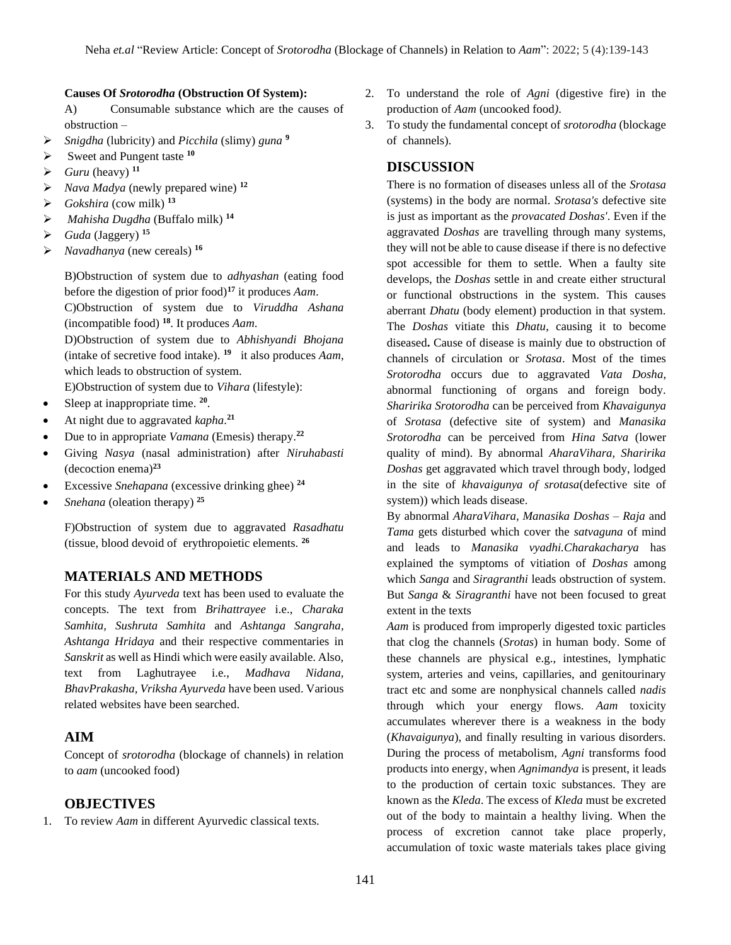#### **Causes Of** *Srotorodha* **(Obstruction Of System):**

A) Consumable substance which are the causes of obstruction –

- ➢ *Snigdha* (lubricity) and *Picchila* (slimy) *guna* **<sup>9</sup>**
- ➢ Sweet and Pungent taste **<sup>10</sup>**
- $\triangleright$  *Guru* (heavy)<sup>11</sup>
- ➢ *Nava Madya* (newly prepared wine) **<sup>12</sup>**
- $\triangleright$  *Gokshira* (cow milk)<sup>13</sup>
- ➢ *Mahisha Dugdha* (Buffalo milk) **<sup>14</sup>**
- $\blacktriangleright$  *Guda* (Jaggery)<sup>15</sup>
- ➢ *Navadhanya* (new cereals) **<sup>16</sup>**

B)Obstruction of system due to *adhyashan* (eating food before the digestion of prior food)**<sup>17</sup>** it produces *Aam*. C)Obstruction of system due to *Viruddha Ashana*

(incompatible food) **<sup>18</sup>**. It produces *Aam*. D)Obstruction of system due to *Abhishyandi Bhojana* (intake of secretive food intake). **<sup>19</sup>** it also produces *Aam*, which leads to obstruction of system.

E)Obstruction of system due to *Vihara* (lifestyle):

- Sleep at inappropriate time. **<sup>20</sup>** .
- At night due to aggravated *kapha*. **21**
- Due to in appropriate *Vamana* (Emesis) therapy.**<sup>22</sup>**
- Giving *Nasya* (nasal administration) after *Niruhabasti* (decoction enema)**<sup>23</sup>**
- Excessive *Snehapana* (excessive drinking ghee) **<sup>24</sup>**
- *Snehana* (oleation therapy)<sup>25</sup>

F)Obstruction of system due to aggravated *Rasadhatu* (tissue, blood devoid of erythropoietic elements. **<sup>26</sup>**

### **MATERIALS AND METHODS**

For this study *Ayurveda* text has been used to evaluate the concepts. The text from *Brihattrayee* i.e., *Charaka Samhita, Sushruta Samhita* and *Ashtanga Sangraha, Ashtanga Hridaya* and their respective commentaries in *Sanskrit* as well as Hindi which were easily available. Also, text from Laghutrayee i.e., *Madhava Nidana, BhavPrakasha, Vriksha Ayurveda* have been used. Various related websites have been searched.

### **AIM**

Concept of *srotorodha* (blockage of channels) in relation to *aam* (uncooked food)

# **OBJECTIVES**

1. To review *Aam* in different Ayurvedic classical texts.

- 2. To understand the role of *Agni* (digestive fire) in the production of *Aam* (uncooked food*)*.
- 3. To study the fundamental concept of *srotorodha* (blockage of channels).

### **DISCUSSION**

There is no formation of diseases unless all of the *Srotasa* (systems) in the body are normal. *Srotasa's* defective site is just as important as the *provacated Doshas'*. Even if the aggravated *Doshas* are travelling through many systems, they will not be able to cause disease if there is no defective spot accessible for them to settle. When a faulty site develops, the *Doshas* settle in and create either structural or functional obstructions in the system. This causes aberrant *Dhatu* (body element) production in that system. The *Doshas* vitiate this *Dhatu*, causing it to become diseased**.** Cause of disease is mainly due to obstruction of channels of circulation or *Srotasa*. Most of the times *Srotorodha* occurs due to aggravated *Vata Dosha*, abnormal functioning of organs and foreign body. *Sharirika Srotorodha* can be perceived from *Khavaigunya*  of *Srotasa* (defective site of system) and *Manasika Srotorodha* can be perceived from *Hina Satva* (lower quality of mind). By abnormal *AharaVihara, Sharirika Doshas* get aggravated which travel through body, lodged in the site of *khavaigunya of srotasa*(defective site of system)) which leads disease.

By abnormal *AharaVihara, Manasika Doshas* – *Raja* and *Tama* gets disturbed which cover the *satvaguna* of mind and leads to *Manasika vyadhi.Charakacharya* has explained the symptoms of vitiation of *Doshas* among which *Sanga* and *Siragranthi* leads obstruction of system. But *Sanga* & *Siragranthi* have not been focused to great extent in the texts

*Aam* is produced from improperly digested toxic particles that clog the channels (*Srotas*) in human body. Some of these channels are physical e.g., intestines, lymphatic system, arteries and veins, capillaries, and genitourinary tract etc and some are nonphysical channels called *nadis* through which your energy flows. *Aam* toxicity accumulates wherever there is a weakness in the body (*Khavaigunya*), and finally resulting in various disorders. During the process of metabolism, *Agni* transforms food products into energy, when *Agnimandya* is present, it leads to the production of certain toxic substances. They are known as the *Kleda*. The excess of *Kleda* must be excreted out of the body to maintain a healthy living. When the process of excretion cannot take place properly, accumulation of toxic waste materials takes place giving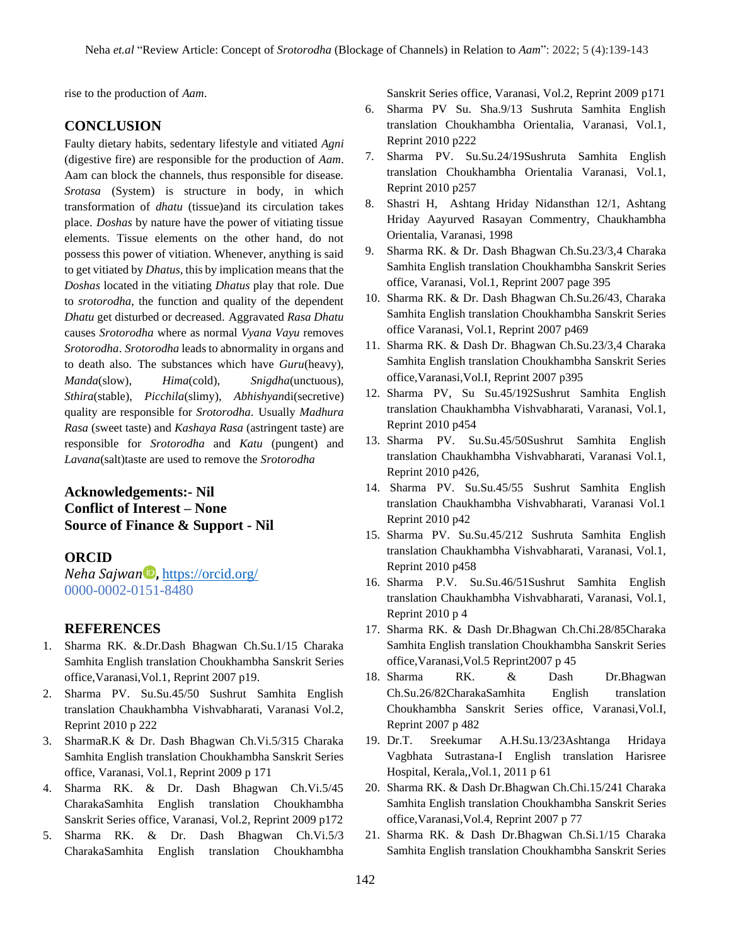rise to the production of *Aam*.

# **CONCLUSION**

Faulty dietary habits, sedentary lifestyle and vitiated *Agni* (digestive fire) are responsible for the production of *Aam*. Aam can block the channels, thus responsible for disease. *Srotasa* (System) is structure in body, in which transformation of *dhatu* (tissue)and its circulation takes place. *Doshas* by nature have the power of vitiating tissue elements. Tissue elements on the other hand, do not possess this power of vitiation. Whenever, anything is said to get vitiated by *Dhatus*, this by implication means that the *Doshas* located in the vitiating *Dhatus* play that role. Due to *srotorodha*, the function and quality of the dependent *Dhatu* get disturbed or decreased. Aggravated *Rasa Dhatu* causes *Srotorodha* where as normal *Vyana Vayu* removes *Srotorodha*. *Srotorodha* leads to abnormality in organs and to death also. The substances which have *Guru*(heavy), *Manda*(slow), *Hima*(cold), *Snigdha*(unctuous), *Sthira*(stable), *Picchila*(slimy), *Abhishyan*di(secretive) quality are responsible for *Srotorodha*. Usually *Madhura Rasa* (sweet taste) and *Kashaya Rasa* (astringent taste) are responsible for *Srotorodha* and *Katu* (pungent) and *Lavana*(salt)taste are used to remove the *Srotorodha*

# **Acknowledgements:- Nil Conflict of Interest – None Source of Finance & Support - Nil**

### **ORCID**

*Neha Sajwan* **,** <https://orcid.org/> 0000-0002-0151-8480

# **REFERENCES**

- 1. Sharma RK. &.Dr.Dash Bhagwan Ch.Su.1/15 Charaka Samhita English translation Choukhambha Sanskrit Series office,Varanasi,Vol.1, Reprint 2007 p19.
- 2. Sharma PV. Su.Su.45/50 Sushrut Samhita English translation Chaukhambha Vishvabharati, Varanasi Vol.2, Reprint 2010 p 222
- 3. SharmaR.K & Dr. Dash Bhagwan Ch.Vi.5/315 Charaka Samhita English translation Choukhambha Sanskrit Series office, Varanasi, Vol.1, Reprint 2009 p 171
- 4. Sharma RK. & Dr. Dash Bhagwan Ch.Vi.5/45 CharakaSamhita English translation Choukhambha Sanskrit Series office, Varanasi, Vol.2, Reprint 2009 p172
- 5. Sharma RK. & Dr. Dash Bhagwan Ch.Vi.5/3 CharakaSamhita English translation Choukhambha

Sanskrit Series office, Varanasi, Vol.2, Reprint 2009 p171

- 6. Sharma PV Su. Sha.9/13 Sushruta Samhita English translation Choukhambha Orientalia, Varanasi, Vol.1, Reprint 2010 p222
- 7. Sharma PV. Su.Su.24/19Sushruta Samhita English translation Choukhambha Orientalia Varanasi, Vol.1, Reprint 2010 p257
- 8. Shastri H, Ashtang Hriday Nidansthan 12/1, Ashtang Hriday Aayurved Rasayan Commentry, Chaukhambha Orientalia, Varanasi, 1998
- 9. Sharma RK. & Dr. Dash Bhagwan Ch.Su.23/3,4 Charaka Samhita English translation Choukhambha Sanskrit Series office, Varanasi, Vol.1, Reprint 2007 page 395
- 10. Sharma RK. & Dr. Dash Bhagwan Ch.Su.26/43, Charaka Samhita English translation Choukhambha Sanskrit Series office Varanasi, Vol.1, Reprint 2007 p469
- 11. Sharma RK. & Dash Dr. Bhagwan Ch.Su.23/3,4 Charaka Samhita English translation Choukhambha Sanskrit Series office,Varanasi,Vol.I, Reprint 2007 p395
- 12. Sharma PV, Su Su.45/192Sushrut Samhita English translation Chaukhambha Vishvabharati, Varanasi, Vol.1, Reprint 2010 p454
- 13. Sharma PV. Su.Su.45/50Sushrut Samhita English translation Chaukhambha Vishvabharati, Varanasi Vol.1, Reprint 2010 p426,
- 14. Sharma PV. Su.Su.45/55 Sushrut Samhita English translation Chaukhambha Vishvabharati, Varanasi Vol.1 Reprint 2010 p42
- 15. Sharma PV. Su.Su.45/212 Sushruta Samhita English translation Chaukhambha Vishvabharati, Varanasi, Vol.1, Reprint 2010 p458
- 16. Sharma P.V. Su.Su.46/51Sushrut Samhita English translation Chaukhambha Vishvabharati, Varanasi, Vol.1, Reprint 2010 p 4
- 17. Sharma RK. & Dash Dr.Bhagwan Ch.Chi.28/85Charaka Samhita English translation Choukhambha Sanskrit Series office,Varanasi,Vol.5 Reprint2007 p 45
- 18. Sharma RK. & Dash Dr.Bhagwan Ch.Su.26/82CharakaSamhita English translation Choukhambha Sanskrit Series office, Varanasi,Vol.I, Reprint 2007 p 482
- 19. Dr.T. Sreekumar A.H.Su.13/23Ashtanga Hridaya Vagbhata Sutrastana-I English translation Harisree Hospital, Kerala,,Vol.1, 2011 p 61
- 20. Sharma RK. & Dash Dr.Bhagwan Ch.Chi.15/241 Charaka Samhita English translation Choukhambha Sanskrit Series office,Varanasi,Vol.4, Reprint 2007 p 77
- 21. Sharma RK. & Dash Dr.Bhagwan Ch.Si.1/15 Charaka Samhita English translation Choukhambha Sanskrit Series